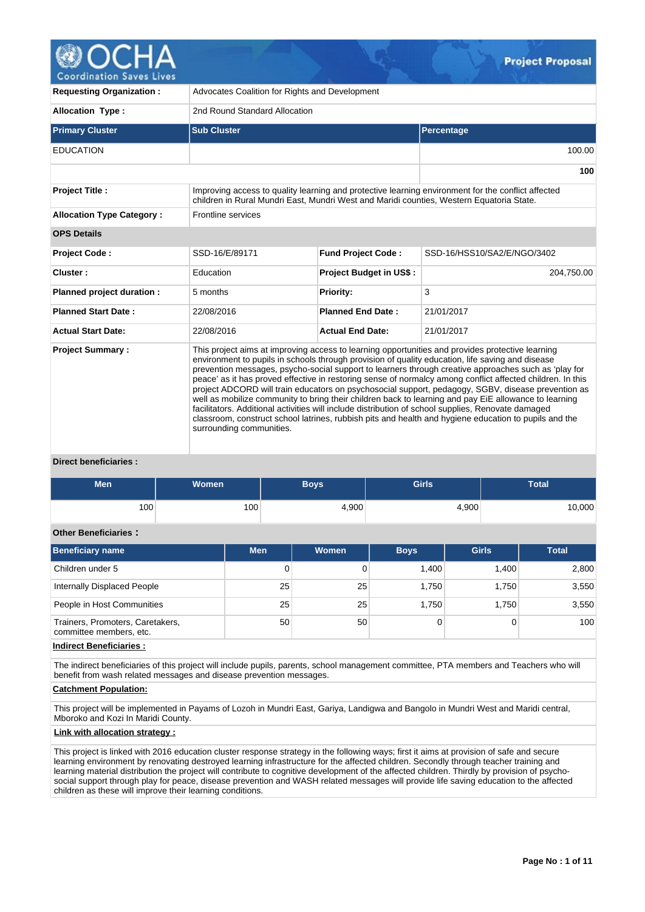# **Coordination Saves Lives**

| <b>Requesting Organization:</b>                                                                                                                                                                                                                                                                                                                                                                                                                                                                                                                                                                                                                                                                                                                                                                                                                                                                                 | Advocates Coalition for Rights and Development |                           |                             |  |  |  |  |  |  |  |
|-----------------------------------------------------------------------------------------------------------------------------------------------------------------------------------------------------------------------------------------------------------------------------------------------------------------------------------------------------------------------------------------------------------------------------------------------------------------------------------------------------------------------------------------------------------------------------------------------------------------------------------------------------------------------------------------------------------------------------------------------------------------------------------------------------------------------------------------------------------------------------------------------------------------|------------------------------------------------|---------------------------|-----------------------------|--|--|--|--|--|--|--|
| <b>Allocation Type:</b>                                                                                                                                                                                                                                                                                                                                                                                                                                                                                                                                                                                                                                                                                                                                                                                                                                                                                         | 2nd Round Standard Allocation                  |                           |                             |  |  |  |  |  |  |  |
| <b>Primary Cluster</b>                                                                                                                                                                                                                                                                                                                                                                                                                                                                                                                                                                                                                                                                                                                                                                                                                                                                                          | <b>Sub Cluster</b>                             |                           | Percentage                  |  |  |  |  |  |  |  |
| <b>EDUCATION</b>                                                                                                                                                                                                                                                                                                                                                                                                                                                                                                                                                                                                                                                                                                                                                                                                                                                                                                |                                                |                           | 100.00                      |  |  |  |  |  |  |  |
|                                                                                                                                                                                                                                                                                                                                                                                                                                                                                                                                                                                                                                                                                                                                                                                                                                                                                                                 |                                                |                           | 100                         |  |  |  |  |  |  |  |
| <b>Project Title:</b><br>Improving access to quality learning and protective learning environment for the conflict affected<br>children in Rural Mundri East, Mundri West and Maridi counties, Western Equatoria State.                                                                                                                                                                                                                                                                                                                                                                                                                                                                                                                                                                                                                                                                                         |                                                |                           |                             |  |  |  |  |  |  |  |
| <b>Allocation Type Category:</b>                                                                                                                                                                                                                                                                                                                                                                                                                                                                                                                                                                                                                                                                                                                                                                                                                                                                                | Frontline services                             |                           |                             |  |  |  |  |  |  |  |
| <b>OPS Details</b>                                                                                                                                                                                                                                                                                                                                                                                                                                                                                                                                                                                                                                                                                                                                                                                                                                                                                              |                                                |                           |                             |  |  |  |  |  |  |  |
| <b>Project Code:</b>                                                                                                                                                                                                                                                                                                                                                                                                                                                                                                                                                                                                                                                                                                                                                                                                                                                                                            | SSD-16/E/89171                                 | <b>Fund Project Code:</b> | SSD-16/HSS10/SA2/E/NGO/3402 |  |  |  |  |  |  |  |
| Cluster:                                                                                                                                                                                                                                                                                                                                                                                                                                                                                                                                                                                                                                                                                                                                                                                                                                                                                                        | Education                                      | Project Budget in US\$:   | 204,750.00                  |  |  |  |  |  |  |  |
| Planned project duration :                                                                                                                                                                                                                                                                                                                                                                                                                                                                                                                                                                                                                                                                                                                                                                                                                                                                                      | 5 months                                       | <b>Priority:</b>          | 3                           |  |  |  |  |  |  |  |
| <b>Planned Start Date:</b>                                                                                                                                                                                                                                                                                                                                                                                                                                                                                                                                                                                                                                                                                                                                                                                                                                                                                      | 22/08/2016                                     | <b>Planned End Date:</b>  | 21/01/2017                  |  |  |  |  |  |  |  |
| <b>Actual Start Date:</b>                                                                                                                                                                                                                                                                                                                                                                                                                                                                                                                                                                                                                                                                                                                                                                                                                                                                                       | 22/08/2016                                     | <b>Actual End Date:</b>   | 21/01/2017                  |  |  |  |  |  |  |  |
| This project aims at improving access to learning opportunities and provides protective learning<br><b>Project Summary:</b><br>environment to pupils in schools through provision of quality education, life saving and disease<br>prevention messages, psycho-social support to learners through creative approaches such as 'play for<br>peace' as it has proved effective in restoring sense of normalcy among conflict affected children. In this<br>project ADCORD will train educators on psychosocial support, pedagogy, SGBV, disease prevention as<br>well as mobilize community to bring their children back to learning and pay EiE allowance to learning<br>facilitators. Additional activities will include distribution of school supplies, Renovate damaged<br>classroom, construct school latrines, rubbish pits and health and hygiene education to pupils and the<br>surrounding communities. |                                                |                           |                             |  |  |  |  |  |  |  |

#### **Direct beneficiaries :**

| Men | <b>Women</b> | Boys  | <b>Girls</b> | <b>Total</b> |
|-----|--------------|-------|--------------|--------------|
| 100 | 100          | 4,900 | 4,900        | 10,000       |

# **Other Beneficiaries :**

| <b>Beneficiary name</b>                                     | <b>Men</b>      | Women | <b>Boys</b> | <b>Girls</b> | <b>Total</b> |
|-------------------------------------------------------------|-----------------|-------|-------------|--------------|--------------|
| Children under 5                                            | 0               |       | 1.400       | 1.400        | 2,800        |
| Internally Displaced People                                 | 25              | 25    | 1.750       | 1.750        | 3,550        |
| People in Host Communities                                  | 25              | 25    | 1.750       | 1.750        | 3,550        |
| Trainers, Promoters, Caretakers,<br>committee members, etc. | 50 <sup>1</sup> | 50    |             |              | 100          |

**Indirect Beneficiaries :**

The indirect beneficiaries of this project will include pupils, parents, school management committee, PTA members and Teachers who will benefit from wash related messages and disease prevention messages.

#### **Catchment Population:**

This project will be implemented in Payams of Lozoh in Mundri East, Gariya, Landigwa and Bangolo in Mundri West and Maridi central, Mboroko and Kozi In Maridi County.

#### **Link with allocation strategy :**

This project is linked with 2016 education cluster response strategy in the following ways; first it aims at provision of safe and secure learning environment by renovating destroyed learning infrastructure for the affected children. Secondly through teacher training and learning material distribution the project will contribute to cognitive development of the affected children. Thirdly by provision of psychosocial support through play for peace, disease prevention and WASH related messages will provide life saving education to the affected children as these will improve their learning conditions.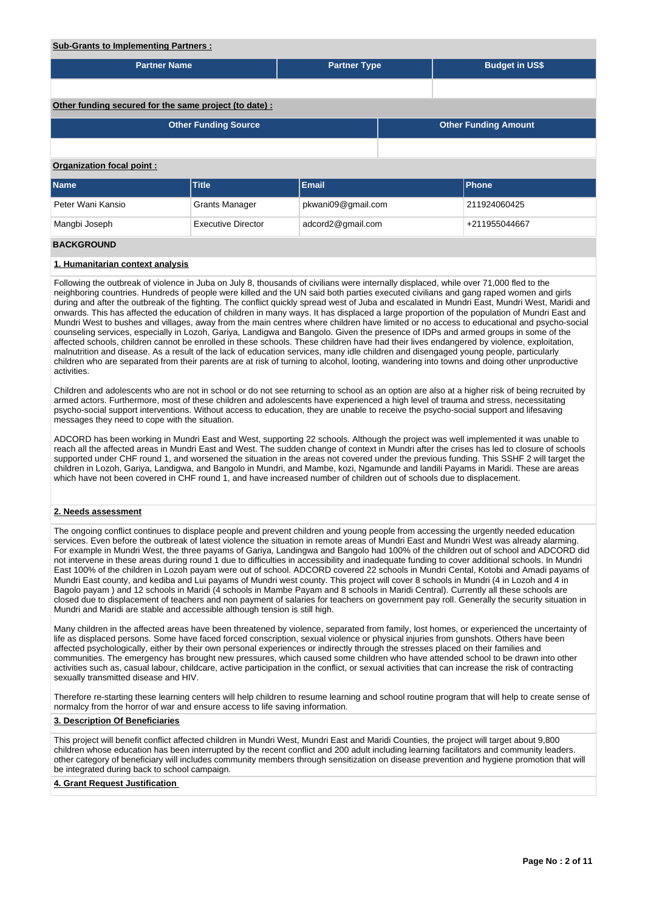### **Sub-Grants to Implementing Partners :**

| <u>ouv oranio to implementing raithers.</u>            |                             |                     |  |                             |                       |  |  |  |  |  |  |
|--------------------------------------------------------|-----------------------------|---------------------|--|-----------------------------|-----------------------|--|--|--|--|--|--|
| <b>Partner Name</b>                                    |                             | <b>Partner Type</b> |  |                             | <b>Budget in US\$</b> |  |  |  |  |  |  |
|                                                        |                             |                     |  |                             |                       |  |  |  |  |  |  |
| Other funding secured for the same project (to date) : |                             |                     |  |                             |                       |  |  |  |  |  |  |
|                                                        | <b>Other Funding Source</b> |                     |  | <b>Other Funding Amount</b> |                       |  |  |  |  |  |  |
|                                                        |                             |                     |  |                             |                       |  |  |  |  |  |  |
| Organization focal point:                              |                             |                     |  |                             |                       |  |  |  |  |  |  |
| <b>Name</b>                                            | <b>Title</b>                | <b>Email</b>        |  | Phone                       |                       |  |  |  |  |  |  |
| Peter Wani Kansio                                      | <b>Grants Manager</b>       | pkwani09@gmail.com  |  | 211924060425                |                       |  |  |  |  |  |  |
| Mangbi Joseph                                          | <b>Executive Director</b>   | adcord2@gmail.com   |  | +211955044667               |                       |  |  |  |  |  |  |
| <b>BACKGROUND</b>                                      |                             |                     |  |                             |                       |  |  |  |  |  |  |

#### **1. Humanitarian context analysis**

Following the outbreak of violence in Juba on July 8, thousands of civilians were internally displaced, while over 71,000 fled to the neighboring countries. Hundreds of people were killed and the UN said both parties executed civilians and gang raped women and girls during and after the outbreak of the fighting. The conflict quickly spread west of Juba and escalated in Mundri East, Mundri West, Maridi and onwards. This has affected the education of children in many ways. It has displaced a large proportion of the population of Mundri East and Mundri West to bushes and villages, away from the main centres where children have limited or no access to educational and psycho-social counseling services, especially in Lozoh, Gariya, Landigwa and Bangolo. Given the presence of IDPs and armed groups in some of the affected schools, children cannot be enrolled in these schools. These children have had their lives endangered by violence, exploitation, malnutrition and disease. As a result of the lack of education services, many idle children and disengaged young people, particularly children who are separated from their parents are at risk of turning to alcohol, looting, wandering into towns and doing other unproductive activities.

Children and adolescents who are not in school or do not see returning to school as an option are also at a higher risk of being recruited by armed actors. Furthermore, most of these children and adolescents have experienced a high level of trauma and stress, necessitating psycho-social support interventions. Without access to education, they are unable to receive the psycho-social support and lifesaving messages they need to cope with the situation.

ADCORD has been working in Mundri East and West, supporting 22 schools. Although the project was well implemented it was unable to reach all the affected areas in Mundri East and West. The sudden change of context in Mundri after the crises has led to closure of schools supported under CHF round 1, and worsened the situation in the areas not covered under the previous funding. This SSHF 2 will target the children in Lozoh, Gariya, Landigwa, and Bangolo in Mundri, and Mambe, kozi, Ngamunde and landili Payams in Maridi. These are areas which have not been covered in CHF round 1, and have increased number of children out of schools due to displacement.

#### **2. Needs assessment**

The ongoing conflict continues to displace people and prevent children and young people from accessing the urgently needed education services. Even before the outbreak of latest violence the situation in remote areas of Mundri East and Mundri West was already alarming. For example in Mundri West, the three payams of Gariya, Landingwa and Bangolo had 100% of the children out of school and ADCORD did not intervene in these areas during round 1 due to difficulties in accessibility and inadequate funding to cover additional schools. In Mundri East 100% of the children in Lozoh payam were out of school. ADCORD covered 22 schools in Mundri Cental, Kotobi and Amadi payams of Mundri East county, and kediba and Lui payams of Mundri west county. This project will cover 8 schools in Mundri (4 in Lozoh and 4 in Bagolo payam ) and 12 schools in Maridi (4 schools in Mambe Payam and 8 schools in Maridi Central). Currently all these schools are closed due to displacement of teachers and non payment of salaries for teachers on government pay roll. Generally the security situation in Mundri and Maridi are stable and accessible although tension is still high.

Many children in the affected areas have been threatened by violence, separated from family, lost homes, or experienced the uncertainty of life as displaced persons. Some have faced forced conscription, sexual violence or physical injuries from gunshots. Others have been affected psychologically, either by their own personal experiences or indirectly through the stresses placed on their families and communities. The emergency has brought new pressures, which caused some children who have attended school to be drawn into other activities such as, casual labour, childcare, active participation in the conflict, or sexual activities that can increase the risk of contracting sexually transmitted disease and HIV.

Therefore re-starting these learning centers will help children to resume learning and school routine program that will help to create sense of normalcy from the horror of war and ensure access to life saving information.

#### **3. Description Of Beneficiaries**

This project will benefit conflict affected children in Mundri West, Mundri East and Maridi Counties, the project will target about 9,800 children whose education has been interrupted by the recent conflict and 200 adult including learning facilitators and community leaders. other category of beneficiary will includes community members through sensitization on disease prevention and hygiene promotion that will be integrated during back to school campaign.

#### **4. Grant Request Justification**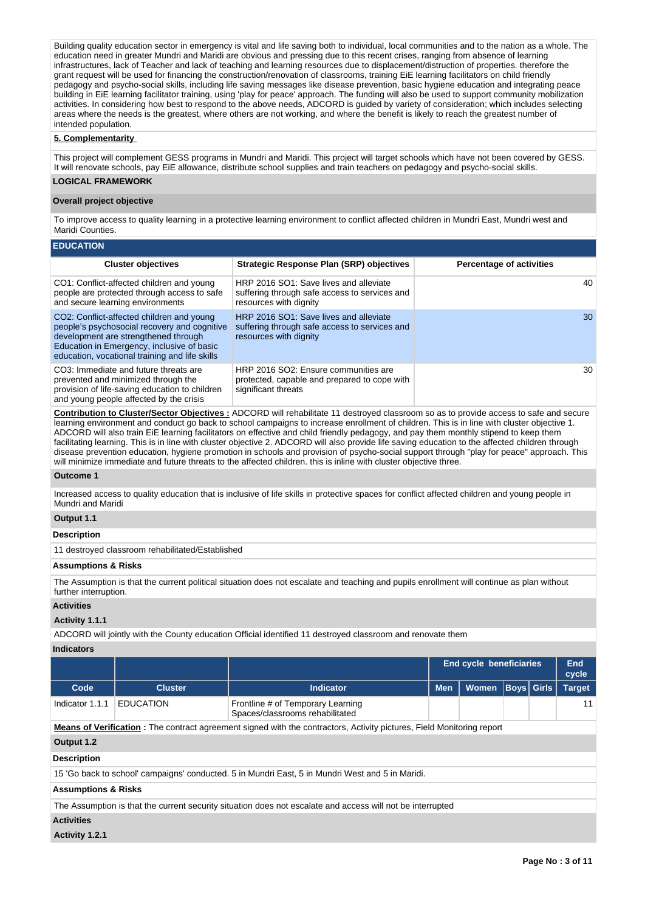Building quality education sector in emergency is vital and life saving both to individual, local communities and to the nation as a whole. The education need in greater Mundri and Maridi are obvious and pressing due to this recent crises, ranging from absence of learning infrastructures, lack of Teacher and lack of teaching and learning resources due to displacement/distruction of properties. therefore the grant request will be used for financing the construction/renovation of classrooms, training EiE learning facilitators on child friendly pedagogy and psycho-social skills, including life saving messages like disease prevention, basic hygiene education and integrating peace building in EiE learning facilitator training, using 'play for peace' approach. The funding will also be used to support community mobilization activities. In considering how best to respond to the above needs, ADCORD is guided by variety of consideration; which includes selecting areas where the needs is the greatest, where others are not working, and where the benefit is likely to reach the greatest number of intended population.

#### **5. Complementarity**

This project will complement GESS programs in Mundri and Maridi. This project will target schools which have not been covered by GESS. It will renovate schools, pay EiE allowance, distribute school supplies and train teachers on pedagogy and psycho-social skills.

## **LOGICAL FRAMEWORK**

#### **Overall project objective**

To improve access to quality learning in a protective learning environment to conflict affected children in Mundri East, Mundri west and Maridi Counties.

| <b>EDUCATION</b>                                                                                                                                                                                                                  |                                                                                                                   |                                 |
|-----------------------------------------------------------------------------------------------------------------------------------------------------------------------------------------------------------------------------------|-------------------------------------------------------------------------------------------------------------------|---------------------------------|
| <b>Cluster objectives</b>                                                                                                                                                                                                         | Strategic Response Plan (SRP) objectives                                                                          | <b>Percentage of activities</b> |
| CO1: Conflict-affected children and young<br>people are protected through access to safe<br>and secure learning environments                                                                                                      | HRP 2016 SO1: Save lives and alleviate<br>suffering through safe access to services and<br>resources with dignity | 40                              |
| CO2: Conflict-affected children and young<br>people's psychosocial recovery and cognitive<br>development are strengthened through<br>Education in Emergency, inclusive of basic<br>education, vocational training and life skills | HRP 2016 SO1: Save lives and alleviate<br>suffering through safe access to services and<br>resources with dignity | 30                              |
| CO3: Immediate and future threats are<br>prevented and minimized through the<br>provision of life-saving education to children<br>and young people affected by the crisis                                                         | HRP 2016 SO2: Ensure communities are<br>protected, capable and prepared to cope with<br>significant threats       | 30                              |

**Contribution to Cluster/Sector Objectives :** ADCORD will rehabilitate 11 destroyed classroom so as to provide access to safe and secure learning environment and conduct go back to school campaigns to increase enrollment of children. This is in line with cluster objective 1. ADCORD will also train EiE learning facilitators on effective and child friendly pedagogy, and pay them monthly stipend to keep them facilitating learning. This is in line with cluster objective 2. ADCORD will also provide life saving education to the affected children through disease prevention education, hygiene promotion in schools and provision of psycho-social support through "play for peace" approach. This will minimize immediate and future threats to the affected children. this is inline with cluster objective three.

#### **Outcome 1**

Increased access to quality education that is inclusive of life skills in protective spaces for conflict affected children and young people in Mundri and Maridi

#### **Output 1.1**

#### **Description**

11 destroyed classroom rehabilitated/Established

#### **Assumptions & Risks**

The Assumption is that the current political situation does not escalate and teaching and pupils enrollment will continue as plan without further interruption.

#### **Activities**

#### **Activity 1.1.1**

ADCORD will jointly with the County education Official identified 11 destroyed classroom and renovate them

#### **Indicators**

|                                                                                                                              |                                                                                                            |                                                                                                  | <b>End cycle beneficiaries</b> | End<br>cycle |  |                   |               |  |  |  |
|------------------------------------------------------------------------------------------------------------------------------|------------------------------------------------------------------------------------------------------------|--------------------------------------------------------------------------------------------------|--------------------------------|--------------|--|-------------------|---------------|--|--|--|
| Code                                                                                                                         | <b>Cluster</b>                                                                                             | <b>Indicator</b>                                                                                 | <b>Men</b>                     | <b>Women</b> |  | <b>Boys</b> Girls | <b>Target</b> |  |  |  |
| Indicator 1.1.1                                                                                                              | <b>EDUCATION</b>                                                                                           | Frontline # of Temporary Learning<br>Spaces/classrooms rehabilitated                             |                                |              |  |                   | 11            |  |  |  |
| <b>Means of Verification:</b> The contract agreement signed with the contractors, Activity pictures, Field Monitoring report |                                                                                                            |                                                                                                  |                                |              |  |                   |               |  |  |  |
| Output 1.2                                                                                                                   |                                                                                                            |                                                                                                  |                                |              |  |                   |               |  |  |  |
| <b>Description</b>                                                                                                           |                                                                                                            |                                                                                                  |                                |              |  |                   |               |  |  |  |
|                                                                                                                              |                                                                                                            | 15 'Go back to school' campaigns' conducted. 5 in Mundri East, 5 in Mundri West and 5 in Maridi. |                                |              |  |                   |               |  |  |  |
|                                                                                                                              | <b>Assumptions &amp; Risks</b>                                                                             |                                                                                                  |                                |              |  |                   |               |  |  |  |
|                                                                                                                              | The Assumption is that the current security situation does not escalate and access will not be interrupted |                                                                                                  |                                |              |  |                   |               |  |  |  |
| <b>Activities</b>                                                                                                            |                                                                                                            |                                                                                                  |                                |              |  |                   |               |  |  |  |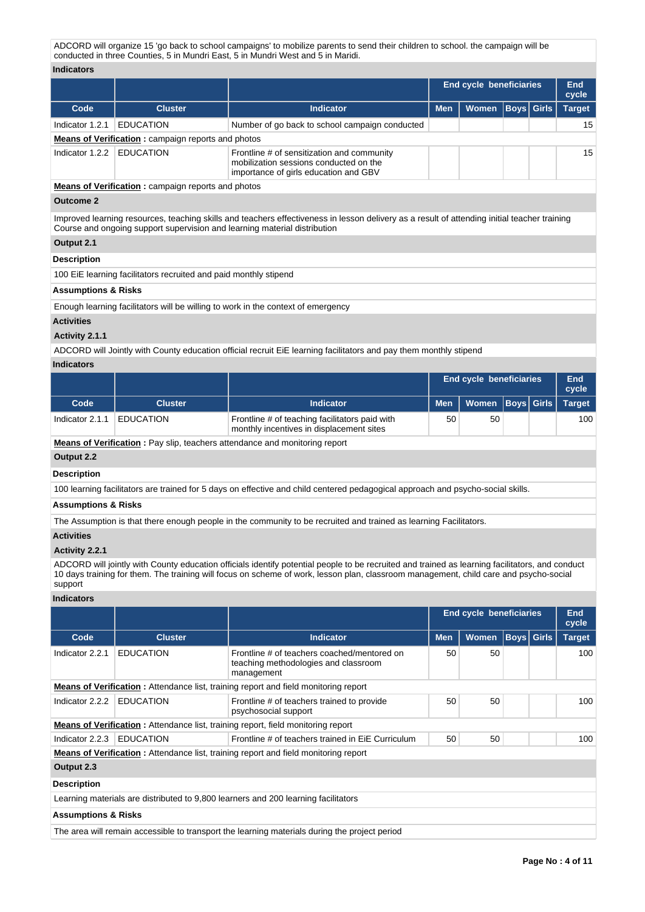ADCORD will organize 15 'go back to school campaigns' to mobilize parents to send their children to school. the campaign will be conducted in three Counties, 5 in Mundri East, 5 in Mundri West and 5 in Maridi.

#### **Indicators**

| inuivatvi J                                               |                                                                           |                                                                                                                                              |                                                 |                     |  |  |               |  |  |  |  |  |
|-----------------------------------------------------------|---------------------------------------------------------------------------|----------------------------------------------------------------------------------------------------------------------------------------------|-------------------------------------------------|---------------------|--|--|---------------|--|--|--|--|--|
|                                                           |                                                                           |                                                                                                                                              | <b>End cycle beneficiaries</b>                  | <b>End</b><br>cycle |  |  |               |  |  |  |  |  |
| Code                                                      | <b>Cluster</b>                                                            | Indicator                                                                                                                                    | <b>Boys</b> Girls<br><b>Men</b><br><b>Women</b> |                     |  |  | <b>Target</b> |  |  |  |  |  |
| Indicator 1.2.1                                           | <b>EDUCATION</b>                                                          | Number of go back to school campaign conducted                                                                                               |                                                 |                     |  |  | 15            |  |  |  |  |  |
|                                                           | <b>Means of Verification:</b> campaign reports and photos                 |                                                                                                                                              |                                                 |                     |  |  |               |  |  |  |  |  |
| Indicator 1.2.2                                           | <b>EDUCATION</b>                                                          | Frontline # of sensitization and community<br>mobilization sessions conducted on the<br>importance of girls education and GBV                |                                                 |                     |  |  | 15            |  |  |  |  |  |
| <b>Means of Verification:</b> campaign reports and photos |                                                                           |                                                                                                                                              |                                                 |                     |  |  |               |  |  |  |  |  |
| <b>Outcome 2</b>                                          |                                                                           |                                                                                                                                              |                                                 |                     |  |  |               |  |  |  |  |  |
|                                                           | Course and ongoing support supervision and learning material distribution | Improved learning resources, teaching skills and teachers effectiveness in lesson delivery as a result of attending initial teacher training |                                                 |                     |  |  |               |  |  |  |  |  |
| Output 2.1                                                |                                                                           |                                                                                                                                              |                                                 |                     |  |  |               |  |  |  |  |  |
| <b>Description</b>                                        |                                                                           |                                                                                                                                              |                                                 |                     |  |  |               |  |  |  |  |  |
|                                                           | 100 EiE learning facilitators recruited and paid monthly stipend          |                                                                                                                                              |                                                 |                     |  |  |               |  |  |  |  |  |
| <b>Assumptions &amp; Risks</b>                            |                                                                           |                                                                                                                                              |                                                 |                     |  |  |               |  |  |  |  |  |
|                                                           |                                                                           | Enough learning facilitators will be willing to work in the context of emergency                                                             |                                                 |                     |  |  |               |  |  |  |  |  |
| <b>Activities</b>                                         |                                                                           |                                                                                                                                              |                                                 |                     |  |  |               |  |  |  |  |  |

# **Activity 2.1.1**

ADCORD will Jointly with County education official recruit EiE learning facilitators and pay them monthly stipend

#### **Indicators**

|                                                                            |                  |                                                                                            | <b>End cycle beneficiaries</b> |                  | End<br>cycle |  |               |  |  |
|----------------------------------------------------------------------------|------------------|--------------------------------------------------------------------------------------------|--------------------------------|------------------|--------------|--|---------------|--|--|
| Code                                                                       | <b>Cluster</b>   | <b>Indicator</b>                                                                           | <b>Men</b>                     | Women Boys Girls |              |  | <b>Target</b> |  |  |
| Indicator 2.1.1                                                            | <b>EDUCATION</b> | Frontline # of teaching facilitators paid with<br>monthly incentives in displacement sites | 50                             | 50               |              |  | 100           |  |  |
| Means of Verification : Pay slip teachers attendance and monitoring report |                  |                                                                                            |                                |                  |              |  |               |  |  |

**Means of Verification :** Pay slip, teachers attendance and monitoring report

**Output 2.2**

**Description**

100 learning facilitators are trained for 5 days on effective and child centered pedagogical approach and psycho-social skills.

#### **Assumptions & Risks**

The Assumption is that there enough people in the community to be recruited and trained as learning Facilitators.

#### **Activities**

### **Activity 2.2.1**

ADCORD will jointly with County education officials identify potential people to be recruited and trained as learning facilitators, and conduct 10 days training for them. The training will focus on scheme of work, lesson plan, classroom management, child care and psycho-social support

#### **Indicators**

|                                                                                            |                  |                                                                                                   | <b>End cycle beneficiaries</b> |              | End<br>cycle |                   |               |  |     |  |
|--------------------------------------------------------------------------------------------|------------------|---------------------------------------------------------------------------------------------------|--------------------------------|--------------|--------------|-------------------|---------------|--|-----|--|
| Code                                                                                       | <b>Cluster</b>   | <b>Indicator</b>                                                                                  | <b>Men</b>                     | <b>Women</b> |              | <b>Boys Girls</b> | <b>Target</b> |  |     |  |
| Indicator 2.2.1                                                                            | <b>EDUCATION</b> | Frontline # of teachers coached/mentored on<br>teaching methodologies and classroom<br>management | 50                             | 50           |              |                   | 100           |  |     |  |
| <b>Means of Verification:</b> Attendance list, training report and field monitoring report |                  |                                                                                                   |                                |              |              |                   |               |  |     |  |
| Indicator 2.2.2                                                                            | <b>EDUCATION</b> | Frontline # of teachers trained to provide<br>psychosocial support                                | 50                             | 50           |              |                   |               |  | 100 |  |
|                                                                                            |                  | <b>Means of Verification:</b> Attendance list, training report, field monitoring report           |                                |              |              |                   |               |  |     |  |
| Indicator 2.2.3                                                                            | <b>EDUCATION</b> | Frontline # of teachers trained in EiE Curriculum                                                 | 50                             | 50           |              |                   | 100           |  |     |  |
|                                                                                            |                  | <b>Means of Verification:</b> Attendance list, training report and field monitoring report        |                                |              |              |                   |               |  |     |  |
| Output 2.3                                                                                 |                  |                                                                                                   |                                |              |              |                   |               |  |     |  |
| <b>Description</b>                                                                         |                  |                                                                                                   |                                |              |              |                   |               |  |     |  |
|                                                                                            |                  | Learning materials are distributed to 9,800 learners and 200 learning facilitators                |                                |              |              |                   |               |  |     |  |
| <b>Assumptions &amp; Risks</b>                                                             |                  |                                                                                                   |                                |              |              |                   |               |  |     |  |
|                                                                                            |                  | The area will remain accessible to transport the learning materials during the project period     |                                |              |              |                   |               |  |     |  |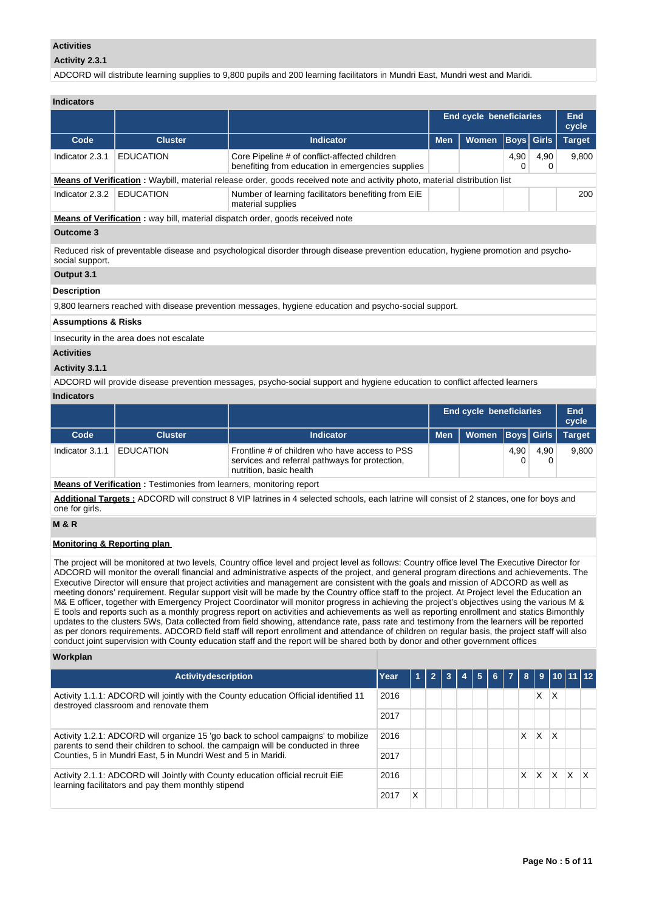#### **Activities**

#### **Activity 2.3.1**

ADCORD will distribute learning supplies to 9,800 pupils and 200 learning facilitators in Mundri East, Mundri west and Maridi.

### **Indicators**

|                 |                                                                                      |                                                                                                                            | End cycle beneficiaries | End<br>cycle |           |                   |               |  |  |  |  |
|-----------------|--------------------------------------------------------------------------------------|----------------------------------------------------------------------------------------------------------------------------|-------------------------|--------------|-----------|-------------------|---------------|--|--|--|--|
| Code            | <b>Cluster</b>                                                                       | <b>Indicator</b>                                                                                                           | <b>Men</b>              | Women        |           | <b>Boys Girls</b> | <b>Target</b> |  |  |  |  |
| Indicator 2.3.1 | <b>EDUCATION</b>                                                                     | Core Pipeline # of conflict-affected children<br>benefiting from education in emergencies supplies                         |                         |              | 4,90<br>0 | 4,90<br>0         | 9,800         |  |  |  |  |
|                 |                                                                                      | Means of Verification: Waybill, material release order, goods received note and activity photo, material distribution list |                         |              |           |                   |               |  |  |  |  |
| Indicator 2.3.2 | <b>EDUCATION</b>                                                                     | Number of learning facilitators benefiting from EiE<br>material supplies                                                   |                         |              |           |                   | 200           |  |  |  |  |
|                 | <b>Means of Verification:</b> way bill, material dispatch order, goods received note |                                                                                                                            |                         |              |           |                   |               |  |  |  |  |
| Outcome 3       |                                                                                      |                                                                                                                            |                         |              |           |                   |               |  |  |  |  |

Reduced risk of preventable disease and psychological disorder through disease prevention education, hygiene promotion and psychosocial support.

#### **Output 3.1**

#### **Description**

9,800 learners reached with disease prevention messages, hygiene education and psycho-social support.

#### **Assumptions & Risks**

Insecurity in the area does not escalate

### **Activities**

#### **Activity 3.1.1**

ADCORD will provide disease prevention messages, psycho-social support and hygiene education to conflict affected learners

#### **Indicators**

|                 |                  |                                                                                                                             | End cycle beneficiaries |                      | End<br>cycle |      |               |
|-----------------|------------------|-----------------------------------------------------------------------------------------------------------------------------|-------------------------|----------------------|--------------|------|---------------|
| Code            | <b>Cluster</b>   | <b>Indicator</b>                                                                                                            | <b>Men</b>              | Women   Boys   Girls |              |      | <b>Target</b> |
| Indicator 3.1.1 | <b>EDUCATION</b> | Frontline # of children who have access to PSS<br>services and referral pathways for protection,<br>nutrition, basic health |                         |                      | 4,90         | 4.90 | 9.800         |

**Means of Verification :** Testimonies from learners, monitoring report

**Additional Targets :** ADCORD will construct 8 VIP latrines in 4 selected schools, each latrine will consist of 2 stances, one for boys and one for girls.

#### **M & R**

#### **Monitoring & Reporting plan**

The project will be monitored at two levels, Country office level and project level as follows: Country office level The Executive Director for ADCORD will monitor the overall financial and administrative aspects of the project, and general program directions and achievements. The Executive Director will ensure that project activities and management are consistent with the goals and mission of ADCORD as well as meeting donors' requirement. Regular support visit will be made by the Country office staff to the project. At Project level the Education an M& E officer, together with Emergency Project Coordinator will monitor progress in achieving the project's objectives using the various M & E tools and reports such as a monthly progress report on activities and achievements as well as reporting enrollment and statics Bimonthly updates to the clusters 5Ws, Data collected from field showing, attendance rate, pass rate and testimony from the learners will be reported as per donors requirements. ADCORD field staff will report enrollment and attendance of children on regular basis, the project staff will also conduct joint supervision with County education staff and the report will be shared both by donor and other government offices

#### **Workplan**

| <b>Activitydescription</b>                                                                                                                                                                                                              | Year |   | $\overline{\mathbf{2}}$ | -3 | 5 | 6 7 1 | -8 I |          |    | $9$ 10 11 12 |   |
|-----------------------------------------------------------------------------------------------------------------------------------------------------------------------------------------------------------------------------------------|------|---|-------------------------|----|---|-------|------|----------|----|--------------|---|
| Activity 1.1.1: ADCORD will jointly with the County education Official identified 11<br>2016<br>destroyed classroom and renovate them                                                                                                   |      |   |                         |    |   |       |      | X        | Х  |              |   |
|                                                                                                                                                                                                                                         | 2017 |   |                         |    |   |       |      |          |    |              |   |
| Activity 1.2.1: ADCORD will organize 15 'go back to school campaigns' to mobilize<br>parents to send their children to school. the campaign will be conducted in three<br>Counties, 5 in Mundri East, 5 in Mundri West and 5 in Maridi. |      |   |                         |    |   |       | X    | $\times$ | ΙX |              |   |
|                                                                                                                                                                                                                                         |      |   |                         |    |   |       |      |          |    |              |   |
| Activity 2.1.1: ADCORD will Jointly with County education official recruit EiE<br>learning facilitators and pay them monthly stipend                                                                                                    |      |   |                         |    |   |       | X    | <b>X</b> | X. | $\mathsf{x}$ | X |
|                                                                                                                                                                                                                                         |      | Χ |                         |    |   |       |      |          |    |              |   |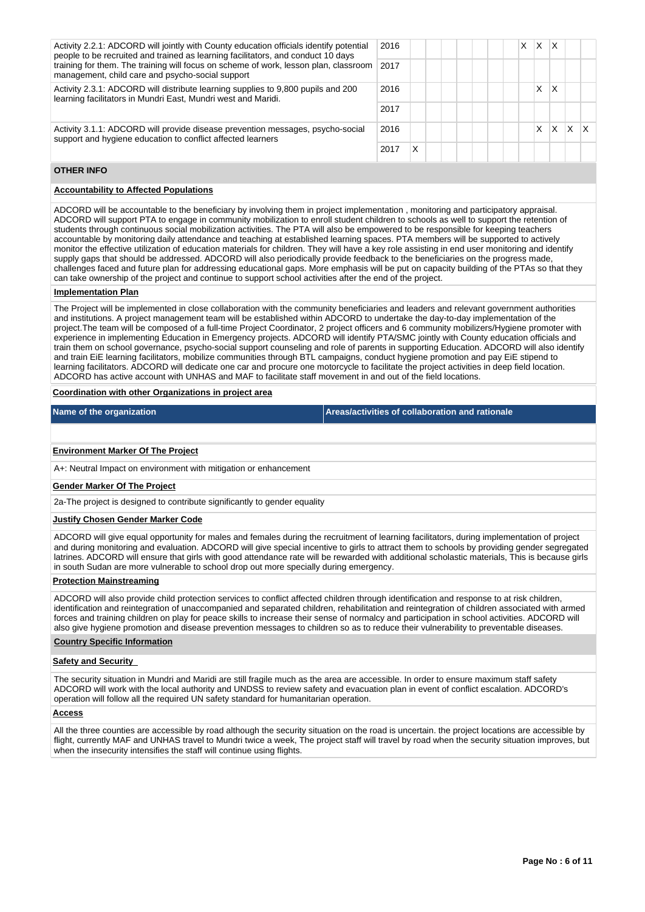| Activity 2.2.1: ADCORD will jointly with County education officials identify potential<br>people to be recruited and trained as learning facilitators, and conduct 10 days<br>training for them. The training will focus on scheme of work, lesson plan, classroom<br>management, child care and psycho-social support | 2016<br>2017 |   |  |  | X | $\times$ | X |   |  |
|------------------------------------------------------------------------------------------------------------------------------------------------------------------------------------------------------------------------------------------------------------------------------------------------------------------------|--------------|---|--|--|---|----------|---|---|--|
| Activity 2.3.1: ADCORD will distribute learning supplies to 9,800 pupils and 200<br>learning facilitators in Mundri East, Mundri west and Maridi.                                                                                                                                                                      | 2016         |   |  |  |   | X        | Χ |   |  |
|                                                                                                                                                                                                                                                                                                                        | 2017         |   |  |  |   |          |   |   |  |
| Activity 3.1.1: ADCORD will provide disease prevention messages, psycho-social<br>support and hygiene education to conflict affected learners                                                                                                                                                                          | 2016         |   |  |  |   | x        | X | x |  |
|                                                                                                                                                                                                                                                                                                                        | 2017         | X |  |  |   |          |   |   |  |

#### **OTHER INFO**

#### **Accountability to Affected Populations**

ADCORD will be accountable to the beneficiary by involving them in project implementation , monitoring and participatory appraisal. ADCORD will support PTA to engage in community mobilization to enroll student children to schools as well to support the retention of students through continuous social mobilization activities. The PTA will also be empowered to be responsible for keeping teachers accountable by monitoring daily attendance and teaching at established learning spaces. PTA members will be supported to actively monitor the effective utilization of education materials for children. They will have a key role assisting in end user monitoring and identify supply gaps that should be addressed. ADCORD will also periodically provide feedback to the beneficiaries on the progress made, challenges faced and future plan for addressing educational gaps. More emphasis will be put on capacity building of the PTAs so that they can take ownership of the project and continue to support school activities after the end of the project.

#### **Implementation Plan**

The Project will be implemented in close collaboration with the community beneficiaries and leaders and relevant government authorities and institutions. A project management team will be established within ADCORD to undertake the day-to-day implementation of the project.The team will be composed of a full-time Project Coordinator, 2 project officers and 6 community mobilizers/Hygiene promoter with experience in implementing Education in Emergency projects. ADCORD will identify PTA/SMC jointly with County education officials and train them on school governance, psycho-social support counseling and role of parents in supporting Education. ADCORD will also identify and train EiE learning facilitators, mobilize communities through BTL campaigns, conduct hygiene promotion and pay EiE stipend to learning facilitators. ADCORD will dedicate one car and procure one motorcycle to facilitate the project activities in deep field location. ADCORD has active account with UNHAS and MAF to facilitate staff movement in and out of the field locations.

#### **Coordination with other Organizations in project area**

| Name of the organization | Areas/activities of collaboration and rationale |
|--------------------------|-------------------------------------------------|

#### **Environment Marker Of The Project**

A+: Neutral Impact on environment with mitigation or enhancement

#### **Gender Marker Of The Project**

2a-The project is designed to contribute significantly to gender equality

#### **Justify Chosen Gender Marker Code**

ADCORD will give equal opportunity for males and females during the recruitment of learning facilitators, during implementation of project and during monitoring and evaluation. ADCORD will give special incentive to girls to attract them to schools by providing gender segregated latrines. ADCORD will ensure that girls with good attendance rate will be rewarded with additional scholastic materials, This is because girls in south Sudan are more vulnerable to school drop out more specially during emergency.

#### **Protection Mainstreaming**

ADCORD will also provide child protection services to conflict affected children through identification and response to at risk children, identification and reintegration of unaccompanied and separated children, rehabilitation and reintegration of children associated with armed forces and training children on play for peace skills to increase their sense of normalcy and participation in school activities. ADCORD will also give hygiene promotion and disease prevention messages to children so as to reduce their vulnerability to preventable diseases.

#### **Country Specific Information**

#### **Safety and Security**

The security situation in Mundri and Maridi are still fragile much as the area are accessible. In order to ensure maximum staff safety ADCORD will work with the local authority and UNDSS to review safety and evacuation plan in event of conflict escalation. ADCORD's operation will follow all the required UN safety standard for humanitarian operation.

#### **Access**

All the three counties are accessible by road although the security situation on the road is uncertain. the project locations are accessible by flight, currently MAF and UNHAS travel to Mundri twice a week, The project staff will travel by road when the security situation improves, but when the insecurity intensifies the staff will continue using flights.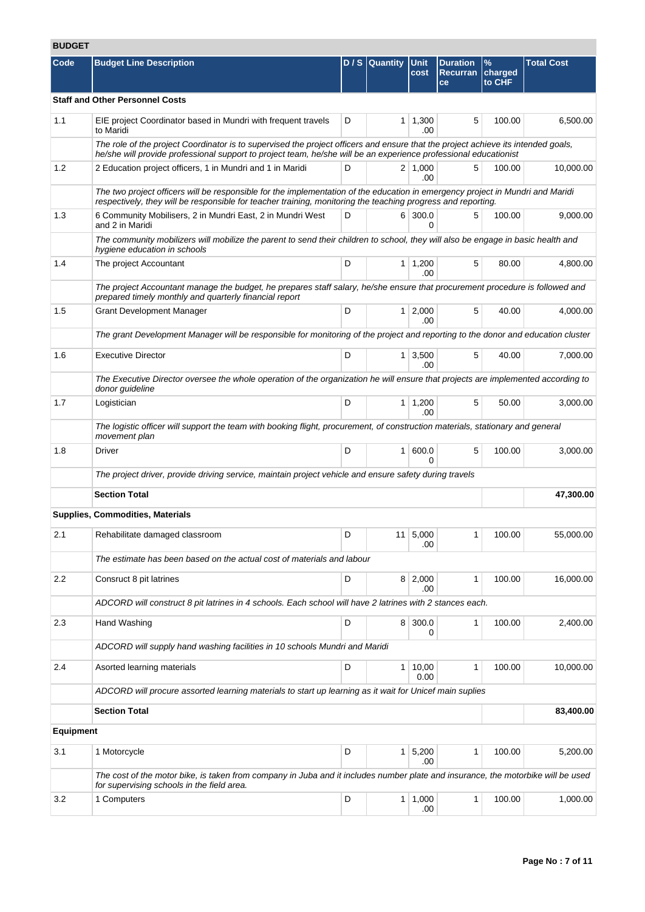# **BUDGET**

| Code             | <b>Budget Line Description</b>                                                                                                                                                                                                                        |   | $D/S$ Quantity | Unit<br>cost              | <b>Duration</b><br><b>Recurran</b><br>ce | $\%$<br>charged<br>to CHF | <b>Total Cost</b> |  |  |
|------------------|-------------------------------------------------------------------------------------------------------------------------------------------------------------------------------------------------------------------------------------------------------|---|----------------|---------------------------|------------------------------------------|---------------------------|-------------------|--|--|
|                  | <b>Staff and Other Personnel Costs</b>                                                                                                                                                                                                                |   |                |                           |                                          |                           |                   |  |  |
| 1.1              | EIE project Coordinator based in Mundri with frequent travels<br>to Maridi                                                                                                                                                                            | D |                | $1 \mid 1,300$<br>.00     | 5                                        | 100.00                    | 6,500.00          |  |  |
|                  | The role of the project Coordinator is to supervised the project officers and ensure that the project achieve its intended goals,<br>he/she will provide professional support to project team, he/she will be an experience professional educationist |   |                |                           |                                          |                           |                   |  |  |
| 1.2              | 2 Education project officers, 1 in Mundri and 1 in Maridi                                                                                                                                                                                             | D |                | $2 \mid 1,000$<br>.00     | 5                                        | 100.00                    | 10,000.00         |  |  |
|                  | The two project officers will be responsible for the implementation of the education in emergency project in Mundri and Maridi<br>respectively, they will be responsible for teacher training, monitoring the teaching progress and reporting.        |   |                |                           |                                          |                           |                   |  |  |
| 1.3              | 6 300.0<br>6 Community Mobilisers, 2 in Mundri East, 2 in Mundri West<br>D<br>5<br>and 2 in Maridi                                                                                                                                                    |   |                |                           |                                          | 100.00                    | 9,000.00          |  |  |
|                  | The community mobilizers will mobilize the parent to send their children to school, they will also be engage in basic health and<br>hygiene education in schools                                                                                      |   |                |                           |                                          |                           |                   |  |  |
| 1.4              | The project Accountant                                                                                                                                                                                                                                | D |                | $1 \mid 1,200$<br>.00     | 5                                        | 80.00                     | 4,800.00          |  |  |
|                  | The project Accountant manage the budget, he prepares staff salary, he/she ensure that procurement procedure is followed and<br>prepared timely monthly and quarterly financial report                                                                |   |                |                           |                                          |                           |                   |  |  |
| 1.5              | <b>Grant Development Manager</b>                                                                                                                                                                                                                      | D |                | $1 \, 2,000$<br>.00       | 5                                        | 40.00                     | 4,000.00          |  |  |
|                  | The grant Development Manager will be responsible for monitoring of the project and reporting to the donor and education cluster                                                                                                                      |   |                |                           |                                          |                           |                   |  |  |
| 1.6              | <b>Executive Director</b>                                                                                                                                                                                                                             | D |                | $1 \mid 3,500$<br>.00     | 5                                        | 40.00                     | 7,000.00          |  |  |
|                  | The Executive Director oversee the whole operation of the organization he will ensure that projects are implemented according to<br>donor guideline                                                                                                   |   |                |                           |                                          |                           |                   |  |  |
| 1.7              | Logistician                                                                                                                                                                                                                                           | D |                | $1 \mid 1,200$<br>.00     | 5                                        | 50.00                     | 3,000.00          |  |  |
|                  | The logistic officer will support the team with booking flight, procurement, of construction materials, stationary and general<br>movement plan                                                                                                       |   |                |                           |                                          |                           |                   |  |  |
| 1.8              | Driver                                                                                                                                                                                                                                                | D |                | 1   600.0<br><sup>0</sup> | 5                                        | 100.00                    | 3,000.00          |  |  |
|                  | The project driver, provide driving service, maintain project vehicle and ensure safety during travels                                                                                                                                                |   |                |                           |                                          |                           |                   |  |  |
|                  | <b>Section Total</b>                                                                                                                                                                                                                                  |   |                |                           |                                          |                           | 47,300.00         |  |  |
|                  | Supplies, Commodities, Materials                                                                                                                                                                                                                      |   |                |                           |                                          |                           |                   |  |  |
| 2.1              | Rehabilitate damaged classroom                                                                                                                                                                                                                        | D |                | 11 5,000<br>.00           | 1 <sup>1</sup>                           | 100.00                    | 55,000.00         |  |  |
|                  | The estimate has been based on the actual cost of materials and labour                                                                                                                                                                                |   |                |                           |                                          |                           |                   |  |  |
| 2.2              | Consruct 8 pit latrines                                                                                                                                                                                                                               | D |                | $8 \mid 2,000$<br>.00     | 1                                        | 100.00                    | 16,000.00         |  |  |
|                  | ADCORD will construct 8 pit latrines in 4 schools. Each school will have 2 latrines with 2 stances each.                                                                                                                                              |   |                |                           |                                          |                           |                   |  |  |
| 2.3              | Hand Washing                                                                                                                                                                                                                                          | D |                | 8 300.0<br>0              | 1                                        | 100.00                    | 2,400.00          |  |  |
|                  | ADCORD will supply hand washing facilities in 10 schools Mundri and Maridi                                                                                                                                                                            |   |                |                           |                                          |                           |                   |  |  |
| 2.4              | Asorted learning materials                                                                                                                                                                                                                            | D |                | 1   10,00<br>0.00         | 1                                        | 100.00                    | 10,000.00         |  |  |
|                  | ADCORD will procure assorted learning materials to start up learning as it wait for Unicef main suplies                                                                                                                                               |   |                |                           |                                          |                           |                   |  |  |
|                  | <b>Section Total</b>                                                                                                                                                                                                                                  |   |                |                           |                                          |                           | 83,400.00         |  |  |
| <b>Equipment</b> |                                                                                                                                                                                                                                                       |   |                |                           |                                          |                           |                   |  |  |
| 3.1              | 1 Motorcycle                                                                                                                                                                                                                                          | D |                | $1 \mid 5,200$<br>.00     | 1                                        | 100.00                    | 5,200.00          |  |  |
|                  | The cost of the motor bike, is taken from company in Juba and it includes number plate and insurance, the motorbike will be used<br>for supervising schools in the field area.                                                                        |   |                |                           |                                          |                           |                   |  |  |
| 3.2              | 1 Computers                                                                                                                                                                                                                                           | D |                | $1 \mid 1,000$<br>.00     | 1                                        | 100.00                    | 1,000.00          |  |  |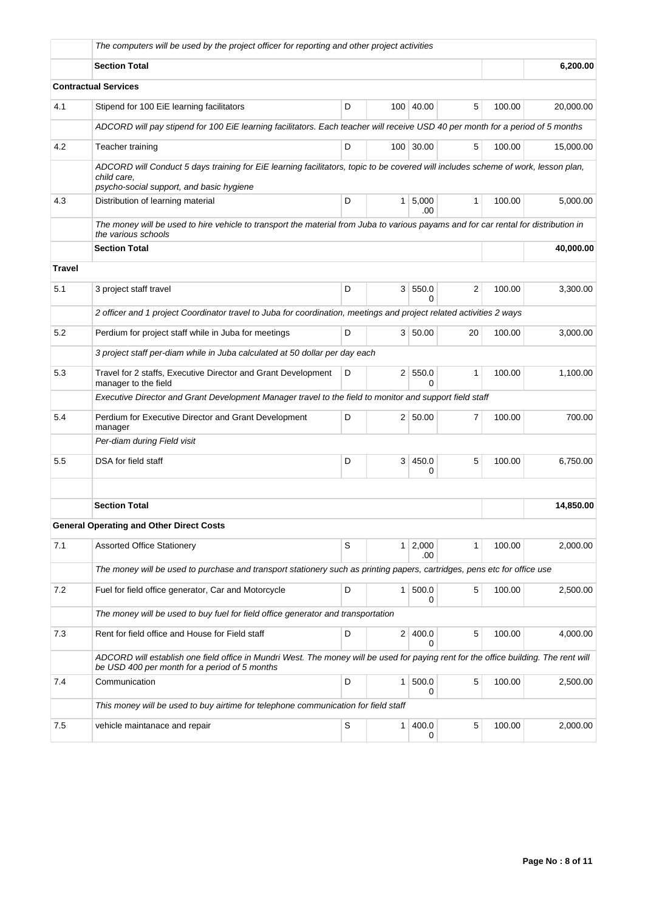|               | The computers will be used by the project officer for reporting and other project activities                                                                                                 |   |                |                       |                |        |           |  |  |
|---------------|----------------------------------------------------------------------------------------------------------------------------------------------------------------------------------------------|---|----------------|-----------------------|----------------|--------|-----------|--|--|
|               | <b>Section Total</b>                                                                                                                                                                         |   |                |                       |                |        | 6,200.00  |  |  |
|               | <b>Contractual Services</b>                                                                                                                                                                  |   |                |                       |                |        |           |  |  |
| 4.1           | Stipend for 100 EiE learning facilitators                                                                                                                                                    | D | 100            | 40.00                 | 5              | 100.00 | 20,000.00 |  |  |
|               | ADCORD will pay stipend for 100 EiE learning facilitators. Each teacher will receive USD 40 per month for a period of 5 months                                                               |   |                |                       |                |        |           |  |  |
| 4.2           | Teacher training                                                                                                                                                                             | D |                | 100 30.00             | 5              | 100.00 | 15,000.00 |  |  |
|               | ADCORD will Conduct 5 days training for EiE learning facilitators, topic to be covered will includes scheme of work, lesson plan,<br>child care.<br>psycho-social support, and basic hygiene |   |                |                       |                |        |           |  |  |
| 4.3           | Distribution of learning material                                                                                                                                                            | D |                | $1 \mid 5,000$<br>.00 | $\mathbf{1}$   | 100.00 | 5,000.00  |  |  |
|               | The money will be used to hire vehicle to transport the material from Juba to various payams and for car rental for distribution in<br>the various schools                                   |   |                |                       |                |        |           |  |  |
|               | <b>Section Total</b>                                                                                                                                                                         |   |                |                       |                |        | 40,000.00 |  |  |
| <b>Travel</b> |                                                                                                                                                                                              |   |                |                       |                |        |           |  |  |
| 5.1           | 3 project staff travel                                                                                                                                                                       | D | 3 <sup>1</sup> | 550.0<br>0            | $\overline{2}$ | 100.00 | 3,300.00  |  |  |
|               | 2 officer and 1 project Coordinator travel to Juba for coordination, meetings and project related activities 2 ways                                                                          |   |                |                       |                |        |           |  |  |
| 5.2           | Perdium for project staff while in Juba for meetings                                                                                                                                         | D |                | 3 50.00               | 20             | 100.00 | 3,000.00  |  |  |
|               | 3 project staff per-diam while in Juba calculated at 50 dollar per day each                                                                                                                  |   |                |                       |                |        |           |  |  |
| 5.3           | 550.0<br>Travel for 2 staffs, Executive Director and Grant Development<br>D<br>2 <sup>1</sup><br>1<br>manager to the field<br>O                                                              |   |                |                       |                | 100.00 | 1,100.00  |  |  |
|               | Executive Director and Grant Development Manager travel to the field to monitor and support field staff                                                                                      |   |                |                       |                |        |           |  |  |
| 5.4           | Perdium for Executive Director and Grant Development<br>manager                                                                                                                              | D |                | 2 50.00               | $\overline{7}$ | 100.00 | 700.00    |  |  |
|               | Per-diam during Field visit                                                                                                                                                                  |   |                |                       |                |        |           |  |  |
| 5.5           | DSA for field staff                                                                                                                                                                          | D | 3              | 450.0<br>0            | 5              | 100.00 | 6,750.00  |  |  |
|               |                                                                                                                                                                                              |   |                |                       |                |        |           |  |  |
|               | <b>Section Total</b>                                                                                                                                                                         |   |                |                       |                |        | 14,850.00 |  |  |
|               | General Operating and Other Direct Costs                                                                                                                                                     |   |                |                       |                |        |           |  |  |
| 7.1           | <b>Assorted Office Stationery</b>                                                                                                                                                            | S |                | $1 \ 2,000$<br>.00    | 1              | 100.00 | 2,000.00  |  |  |
|               | The money will be used to purchase and transport stationery such as printing papers, cartridges, pens etc for office use                                                                     |   |                |                       |                |        |           |  |  |
| 7.2           | Fuel for field office generator, Car and Motorcycle                                                                                                                                          | D | $\mathbf{1}$   | 500.0<br>0            | 5              | 100.00 | 2,500.00  |  |  |
|               | The money will be used to buy fuel for field office generator and transportation                                                                                                             |   |                |                       |                |        |           |  |  |
| 7.3           | Rent for field office and House for Field staff                                                                                                                                              | D | 2 <sup>1</sup> | 400.0<br>0            | 5              | 100.00 | 4,000.00  |  |  |
|               | ADCORD will establish one field office in Mundri West. The money will be used for paying rent for the office building. The rent will<br>be USD 400 per month for a period of 5 months        |   |                |                       |                |        |           |  |  |
| 7.4           | Communication                                                                                                                                                                                | D | 1              | 500.0<br>0            | 5              | 100.00 | 2,500.00  |  |  |
|               | This money will be used to buy airtime for telephone communication for field staff                                                                                                           |   |                |                       |                |        |           |  |  |
| 7.5           | vehicle maintanace and repair                                                                                                                                                                | S | $\mathbf{1}$   | 400.0<br>0            | 5              | 100.00 | 2,000.00  |  |  |